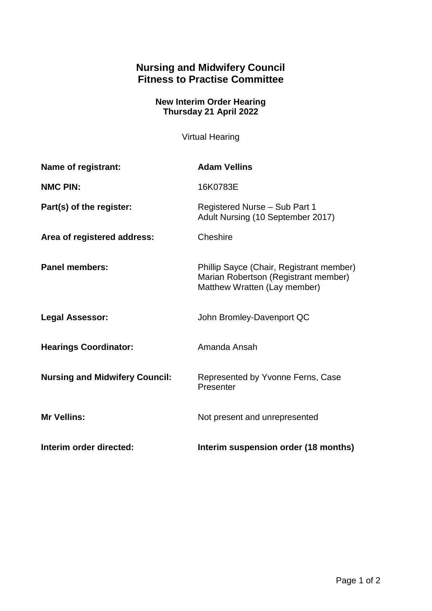## **Nursing and Midwifery Council Fitness to Practise Committee**

## **New Interim Order Hearing Thursday 21 April 2022**

Virtual Hearing

| Name of registrant:                   | <b>Adam Vellins</b>                                                                                              |
|---------------------------------------|------------------------------------------------------------------------------------------------------------------|
| <b>NMC PIN:</b>                       | 16K0783E                                                                                                         |
| Part(s) of the register:              | Registered Nurse - Sub Part 1<br>Adult Nursing (10 September 2017)                                               |
| Area of registered address:           | Cheshire                                                                                                         |
| <b>Panel members:</b>                 | Phillip Sayce (Chair, Registrant member)<br>Marian Robertson (Registrant member)<br>Matthew Wratten (Lay member) |
| <b>Legal Assessor:</b>                | John Bromley-Davenport QC                                                                                        |
| <b>Hearings Coordinator:</b>          | Amanda Ansah                                                                                                     |
| <b>Nursing and Midwifery Council:</b> | Represented by Yvonne Ferns, Case<br>Presenter                                                                   |
| <b>Mr Vellins:</b>                    | Not present and unrepresented                                                                                    |
| Interim order directed:               | Interim suspension order (18 months)                                                                             |